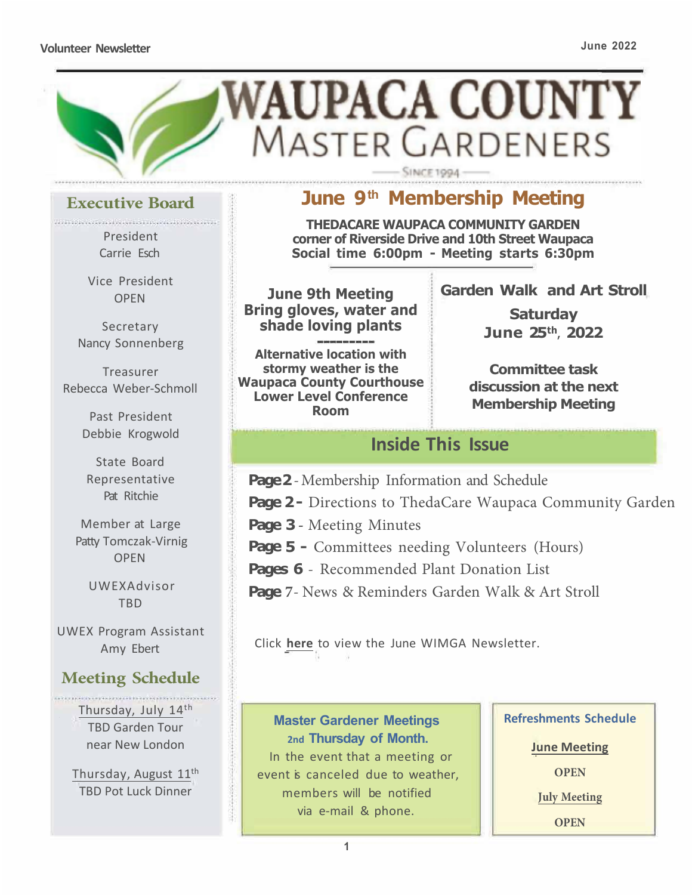#### **Volunteer Newsletter June 2022**



### **Executive Board**

President Carrie Esch

> Vice President OPEN

**Secretary** Nancy Sonnenberg

Treasurer Rebecca Weber-Schmoll

> Past President Debbie Krogwold

State Board Representative Pat Ritchie

Member at Large Patty Tomczak-Virnig OPEN

UWEXAdvisor TBD

UWEX Program Assistant Amy Ebert

### **Meeting Schedule**

Thursday, July 14th TBD Garden Tour near New London

Thursday, August 11th TBD Pot Luck Dinner

# **June 9 th Membership Meeting**

**THEDACARE WAUPACA COMMUNITY GARDEN corner of Riverside Drive and 10th Street Waupaca Social time 6:00pm - Meeting starts 6:30pm** 

**June 9th Meeting Bring gloves, water and shade loving plants**

**Alternative location with stormy weather is the Waupaca County Courthouse Lower Level Conference Room**

**Garden Walk and Art Stroll** 

**Saturday June 25th, 2022** 

**Committee task discussion at the next Membership Meeting**

## **Inside This Issue**

**Page 2 -** Membership Information and Schedule

**Page 2 -** Directions to ThedaCare Waupaca Community Garden

**Page 3 -** Meeting Minutes

**Page 5 -** Committees needing Volunteers (Hours)

**Pages 6** - Recommended Plant Donation List

**Page 7**- News & Reminders Garden Walk & Art Stroll

ta a shekara

**Master Gardener Meetings 2nd Thursday of Month.**  In the event that a meeting or event is canceled due to weather. members will be notified via e-mail & phone.

**Refreshments Schedule** 

**June Meeting** 

**OPEN**

**July Meeting** 

**OPEN**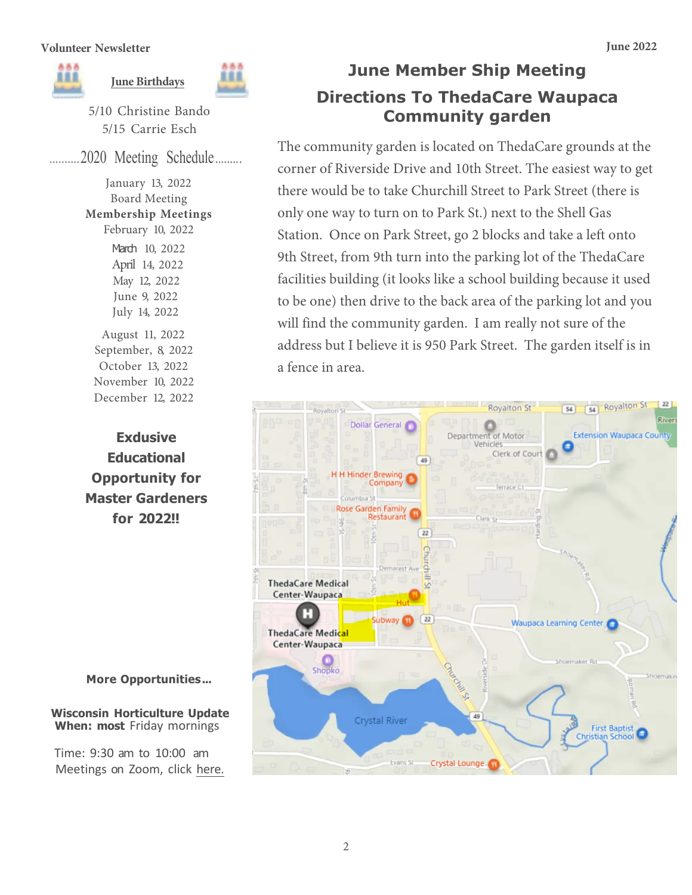

5/10 Christine Bando 5/15 Carrie Esch

...2020 Meeting Schedule .........

January 13, 2022 Board Meeting **Membership Meetings**  February 10, 2022 March 10, 2022 April 14, 2022 May 12, 2022 June 9, 2022 July 14, 2022 August 11, 2022 September, 8, 2022 October 13, 2022 November 10, 2022

December 12, 2022

**June Member Ship Meeting Directions To ThedaCare Waupaca Community garden**

The community garden is located on ThedaCare grounds at the corner of Riverside Drive and 10th Street. The easiest way to get there would be to take Churchill Street to Park Street (there is only one way to turn on to Park St.) next to the Shell Gas Station. Once on Park Street, go 2 blocks and take a left onto 9th Street, from 9th turn into the parking lot of the ThedaCare facilities building (it looks like a school building because it used to be one) then drive to the back area of the parking lot and you will find the community garden. I am really not sure of the address but I believe it is 950 Park Street. The garden itself is in a fence in area.

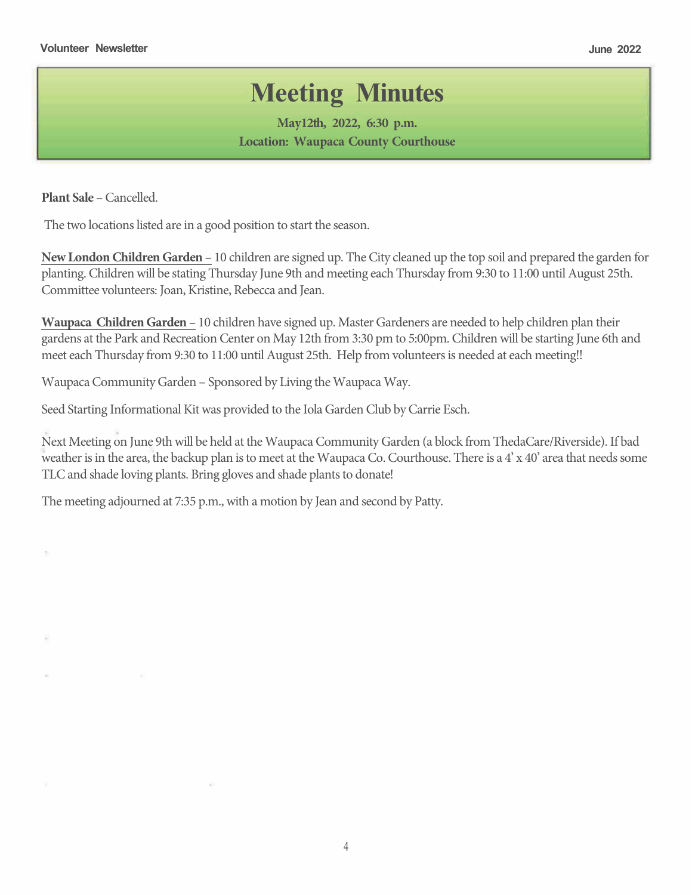# **Meeting Minutes**

**May12th, 2022, 6:30 p.m. Location: Waupaca County Courthouse**

**Plant Sale** – Cancelled.

**Children Gardens-** The two locations listed are in a good position to start the season.

- **New LondonChildren Garden –** 10 children are signed up. The City cleaned up the top soil and prepared the garden for planting. Childrenwill be stating Thursday June 9th and meeting each Thursday from 9:30 to 11:00 until August 25th. Committee volunteers: Joan, Kristine, Rebecca and Jean.
- **Waupaca Children Garden –** 10 children have signed up. Master Gardeners are needed to help children plan their gardens at the Park and Recreation Center on May 12th from 3:30 pm to 5:00pm. Childrenwill be starting June 6th and meet each Thursday from 9:30 to 11:00 until August 25th. Help from volunteers is needed at each meeting!!

**Waupaca Community Garden** – Sponsored by Living the Waupaca Way.

Seed Starting Informational Kit was provided to the Iola Garden Club by Carrie Esch.

Next Meeting on June 9th will be held at the Waupaca Community Garden (a block from ThedaCare/Riverside). If bad weather is in the area, the backup plan is to meet at the Waupaca Co. Courthouse. There is a  $4' \times 40'$  area that needs some TLC and shade loving plants. Bring gloves and shade plants to donate!

The meeting adjourned at 7:35 p.m., with a motion by Jean and second by Patty.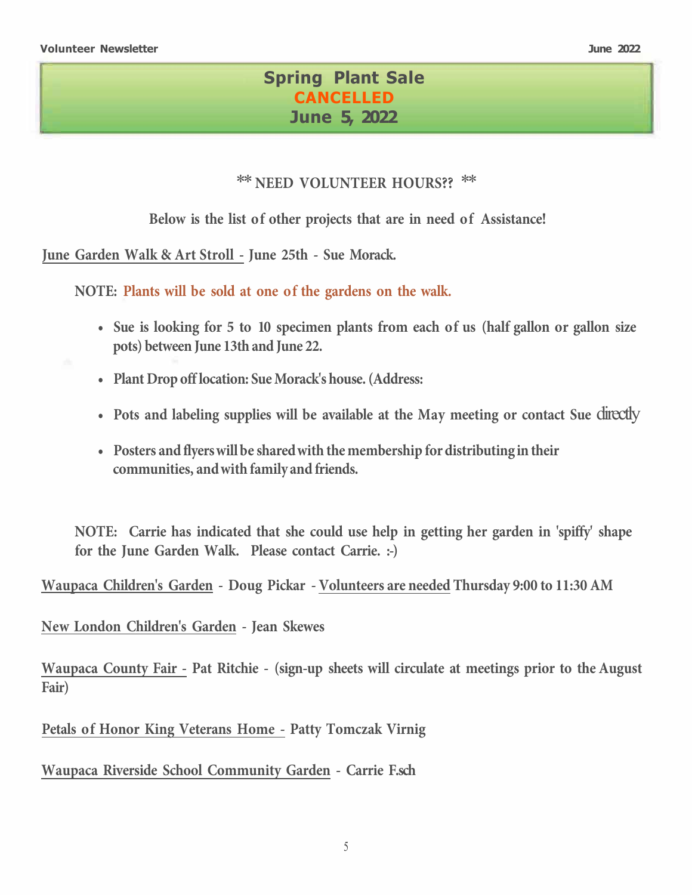...

## **Spring Plant Sale CANCELLED June 5, 2022**

### *\*\** **NEED VOLUNTEER HOURS??** *\*\**

**Below is the list of other projects that are in need of Assistance!** 

**June Garden Walk & Art Stroll - June 25th - Sue Morack.** 

**NOTE: Plants will be sold at one of the gardens on the walk.** 

**4sFgTMPPigleGPp rP TnFagNFlnMBlrTGpPN FBaIPGsT IBMGeBMMPlPpeBMMPlTg[F nmr** 'cruccl Hslc 1rf |b Hslc00,

**N** Ir pm**mdcha** rgmsc mp aifms c

**P m** bbpc L0 0.A k pg J lc U sn a UG 2

BafSè VST We^d bibY^[[TWWBih S [Sf6 TZ?WSWk WWfa[dJ \si`fESQNU f ? a  $d$  S U  $\vert$   $\zeta$ 

 $\uparrow$  B a e S WMV e stativitive shared with the membership for distributing in their  $Ua \equiv g \hat{S}$  fiv[ $W$ es $\equiv g \hat{S}$   $\hat{S}$   $\hat{S}$   $\hat{S}$   $\hat{S}$   $\hat{S}$   $\hat{S}$   $\hat{S}$   $\hat{S}$   $\hat{S}$   $\hat{S}$   $\hat{S}$   $\hat{S}$   $\hat{S}$   $\hat{S}$   $\hat{S}$   $\hat{S}$   $\hat{S}$   $\hat{S}$   $\hat{S}$   $\hat{S}$   $\hat{S}$   $\hat{S}$   $\hat{S}$   $\hat{$ 

**NOTE: Carrie has indicated that she could use help in getting her garden in 'spiffy' shape for the June Garden Walk. Please contact Carrie. :-)** 

**Waupaca Children's Garden - Doug Pickar - Volunteers are needed Thursday 9:00 to 11:30 AM**

**New London Children's Garden - Jean Skewes** 

**Waupaca County Fair - Pat Ritchie - sign-up sheets will circulate at meetings prior to the August Fair**

**Petals of Honor King Veterans Home - Patty Tomczak Virnig** 

**Waupaca Riverside School Community Garden - Carrie F.sch**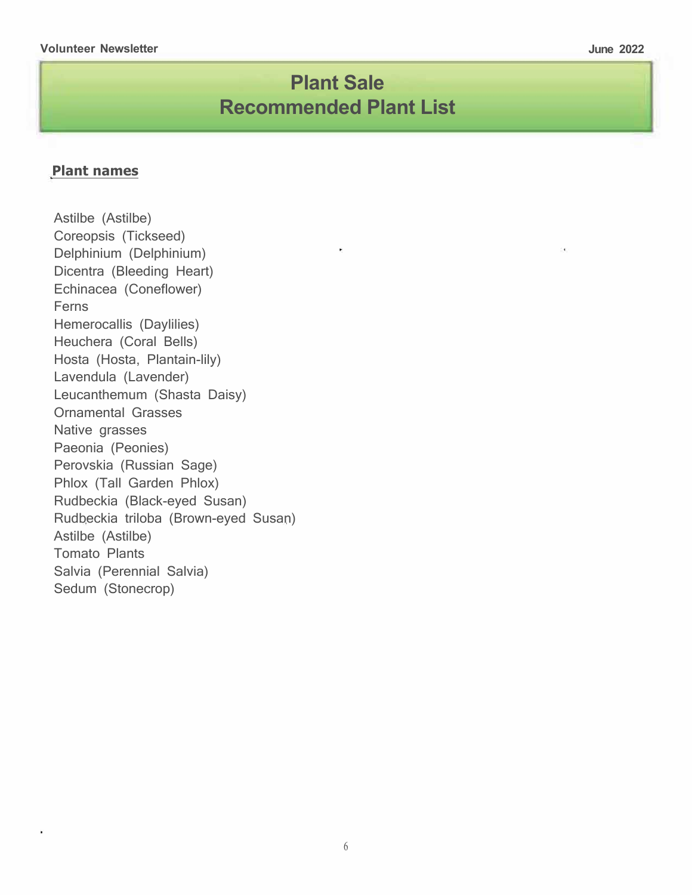# **Plant Sale Recommended Plant List**

### **Plant names**

Astilbe (Astilbe) Coreopsis (Tickseed) Delphinium (Delphinium) Dicentra (Bleeding Heart) Echinacea (Coneflower) Ferns Hemerocallis (Daylilies) Heuchera (Coral Bells) Hosta (Hosta, Plantain-lily) Lavendula (Lavender) Leucanthemum (Shasta Daisy) Ornamental Grasses Native grasses Paeonia (Peonies) Perovskia (Russian Sage) Phlox (Tall Garden Phlox) Rudbeckia (Black-eyed Susan) Rudbeckia triloba (Brown-eyed Susan) Astilbe (Astilbe) Tomato Plants Salvia (Perennial Salvia) Sedum (Stonecrop)